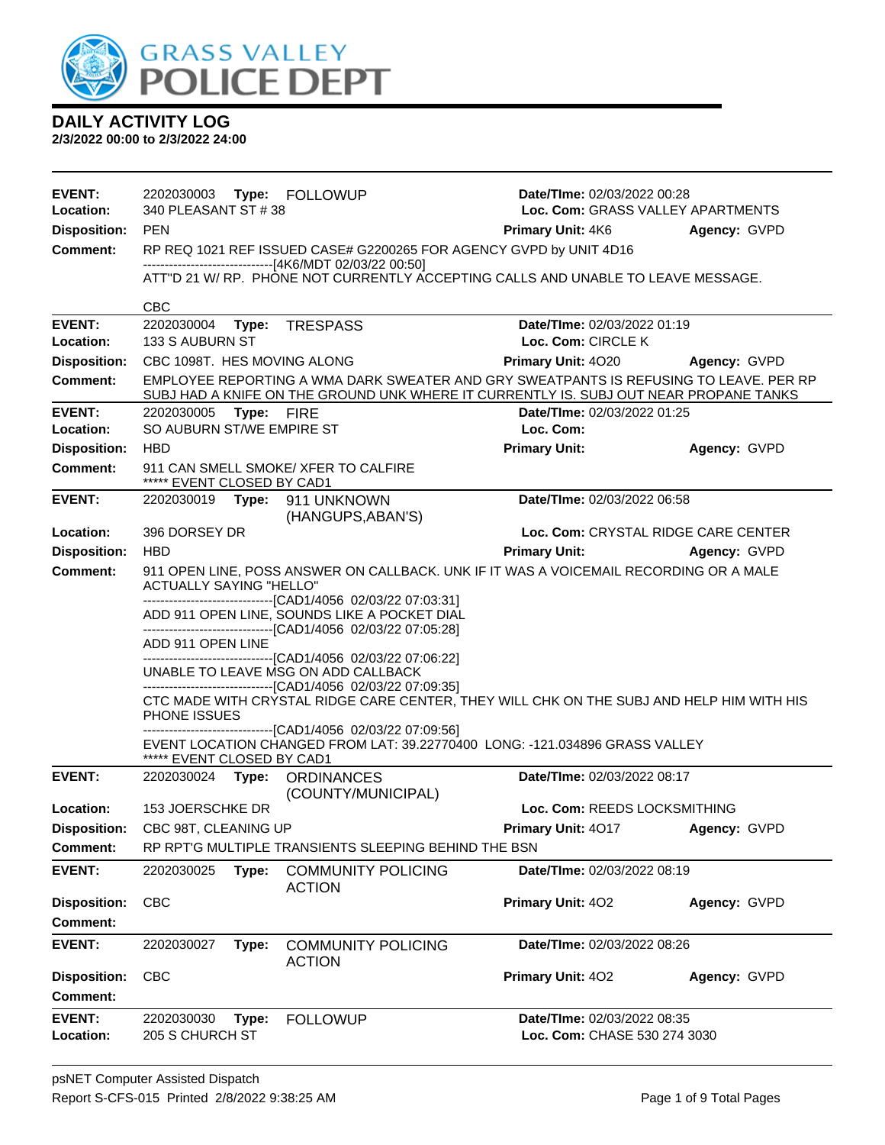

| <b>EVENT:</b><br>Location: | 2202030003 Type: FOLLOWUP<br>340 PLEASANT ST #38                                                                        |                                                                                                                                                                                |                                                   | Date/TIme: 02/03/2022 00:28<br>Loc. Com: GRASS VALLEY APARTMENTS |  |
|----------------------------|-------------------------------------------------------------------------------------------------------------------------|--------------------------------------------------------------------------------------------------------------------------------------------------------------------------------|---------------------------------------------------|------------------------------------------------------------------|--|
| <b>Disposition:</b>        | <b>PEN</b>                                                                                                              |                                                                                                                                                                                | <b>Primary Unit: 4K6</b>                          | Agency: GVPD                                                     |  |
| <b>Comment:</b>            |                                                                                                                         | RP REQ 1021 REF ISSUED CASE# G2200265 FOR AGENCY GVPD by UNIT 4D16                                                                                                             |                                                   |                                                                  |  |
|                            |                                                                                                                         | -------------------------------[4K6/MDT 02/03/22 00:50]                                                                                                                        |                                                   |                                                                  |  |
|                            |                                                                                                                         | ATT"D 21 W/ RP. PHONE NOT CURRENTLY ACCEPTING CALLS AND UNABLE TO LEAVE MESSAGE.                                                                                               |                                                   |                                                                  |  |
|                            | <b>CBC</b>                                                                                                              |                                                                                                                                                                                |                                                   |                                                                  |  |
| <b>EVENT:</b><br>Location: | 2202030004<br>133 S AUBURN ST                                                                                           | Type: TRESPASS                                                                                                                                                                 | Date/TIme: 02/03/2022 01:19<br>Loc. Com: CIRCLE K |                                                                  |  |
| <b>Disposition:</b>        | CBC 1098T. HES MOVING ALONG                                                                                             |                                                                                                                                                                                | Primary Unit: 4020                                | Agency: GVPD                                                     |  |
| <b>Comment:</b>            |                                                                                                                         | EMPLOYEE REPORTING A WMA DARK SWEATER AND GRY SWEATPANTS IS REFUSING TO LEAVE. PER RP<br>SUBJ HAD A KNIFE ON THE GROUND UNK WHERE IT CURRENTLY IS. SUBJ OUT NEAR PROPANE TANKS |                                                   |                                                                  |  |
| <b>EVENT:</b>              | 2202030005 Type: FIRE                                                                                                   |                                                                                                                                                                                | Date/TIme: 02/03/2022 01:25                       |                                                                  |  |
| Location:                  | SO AUBURN ST/WE EMPIRE ST                                                                                               |                                                                                                                                                                                | Loc. Com:                                         |                                                                  |  |
| <b>Disposition:</b>        | <b>HBD</b>                                                                                                              |                                                                                                                                                                                | <b>Primary Unit:</b>                              | Agency: GVPD                                                     |  |
| <b>Comment:</b>            | ***** EVENT CLOSED BY CAD1                                                                                              | 911 CAN SMELL SMOKE/ XFER TO CALFIRE                                                                                                                                           |                                                   |                                                                  |  |
| <b>EVENT:</b>              | 2202030019    Type: 911    UNKNOWN                                                                                      | (HANGUPS, ABAN'S)                                                                                                                                                              | Date/TIme: 02/03/2022 06:58                       |                                                                  |  |
| Location:                  | 396 DORSEY DR                                                                                                           |                                                                                                                                                                                | Loc. Com: CRYSTAL RIDGE CARE CENTER               |                                                                  |  |
| <b>Disposition:</b>        | <b>HBD</b>                                                                                                              |                                                                                                                                                                                | <b>Primary Unit:</b>                              | Agency: GVPD                                                     |  |
| <b>Comment:</b>            | 911 OPEN LINE, POSS ANSWER ON CALLBACK. UNK IF IT WAS A VOICEMAIL RECORDING OR A MALE<br><b>ACTUALLY SAYING "HELLO"</b> |                                                                                                                                                                                |                                                   |                                                                  |  |
|                            |                                                                                                                         | -------------------------------[CAD1/4056 02/03/22 07:03:31]                                                                                                                   |                                                   |                                                                  |  |
|                            |                                                                                                                         | ADD 911 OPEN LINE, SOUNDS LIKE A POCKET DIAL                                                                                                                                   |                                                   |                                                                  |  |
|                            | ADD 911 OPEN LINE                                                                                                       | -------------------------------[CAD1/4056 02/03/22 07:05:28]                                                                                                                   |                                                   |                                                                  |  |
|                            |                                                                                                                         | -------------------------------[CAD1/4056 02/03/22 07:06:22]                                                                                                                   |                                                   |                                                                  |  |
|                            |                                                                                                                         | UNABLE TO LEAVE MSG ON ADD CALLBACK                                                                                                                                            |                                                   |                                                                  |  |
|                            | PHONE ISSUES                                                                                                            | -------------------------------[CAD1/4056 02/03/22 07:09:35]<br>CTC MADE WITH CRYSTAL RIDGE CARE CENTER, THEY WILL CHK ON THE SUBJ AND HELP HIM WITH HIS                       |                                                   |                                                                  |  |
|                            |                                                                                                                         | -------------------------------[CAD1/4056 02/03/22 07:09:56]                                                                                                                   |                                                   |                                                                  |  |
|                            | ***** EVENT CLOSED BY CAD1                                                                                              | EVENT LOCATION CHANGED FROM LAT: 39.22770400 LONG: -121.034896 GRASS VALLEY                                                                                                    |                                                   |                                                                  |  |
| <b>EVENT:</b>              | 2202030024 Type: ORDINANCES                                                                                             |                                                                                                                                                                                | Date/TIme: 02/03/2022 08:17                       |                                                                  |  |
| Location:                  | 153 JOERSCHKE DR                                                                                                        | (COUNTY/MUNICIPAL)                                                                                                                                                             | Loc. Com: REEDS LOCKSMITHING                      |                                                                  |  |
|                            | Disposition: CBC 98T, CLEANING UP                                                                                       |                                                                                                                                                                                | <b>Primary Unit: 4017 Agency: GVPD</b>            |                                                                  |  |
| Comment:                   |                                                                                                                         | RP RPT'G MULTIPLE TRANSIENTS SLEEPING BEHIND THE BSN                                                                                                                           |                                                   |                                                                  |  |
| <b>EVENT:</b>              | 2202030025<br>Type:                                                                                                     | <b>COMMUNITY POLICING</b><br><b>ACTION</b>                                                                                                                                     | Date/TIme: 02/03/2022 08:19                       |                                                                  |  |
| <b>Disposition:</b>        | <b>CBC</b>                                                                                                              |                                                                                                                                                                                | Primary Unit: 402                                 | Agency: GVPD                                                     |  |
| <b>Comment:</b>            |                                                                                                                         |                                                                                                                                                                                |                                                   |                                                                  |  |
| <b>EVENT:</b>              | 2202030027<br>Type:                                                                                                     | <b>COMMUNITY POLICING</b><br><b>ACTION</b>                                                                                                                                     | Date/TIme: 02/03/2022 08:26                       |                                                                  |  |
| <b>Disposition:</b>        | <b>CBC</b>                                                                                                              |                                                                                                                                                                                | Primary Unit: 402                                 | Agency: GVPD                                                     |  |
| <b>Comment:</b>            |                                                                                                                         |                                                                                                                                                                                |                                                   |                                                                  |  |
| <b>EVENT:</b>              | 2202030030<br>Type:                                                                                                     | <b>FOLLOWUP</b>                                                                                                                                                                | Date/TIme: 02/03/2022 08:35                       |                                                                  |  |
| Location:                  | 205 S CHURCH ST                                                                                                         |                                                                                                                                                                                | Loc. Com: CHASE 530 274 3030                      |                                                                  |  |
|                            |                                                                                                                         |                                                                                                                                                                                |                                                   |                                                                  |  |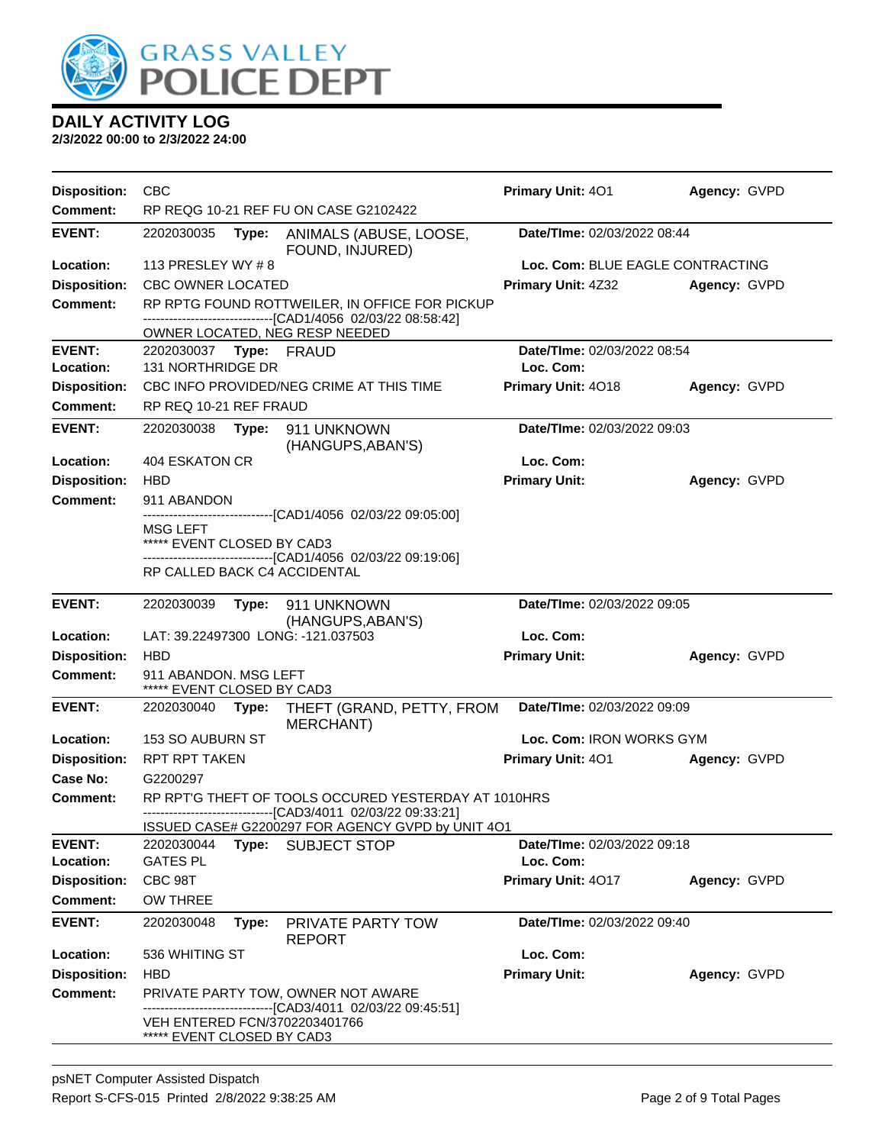

| <b>Disposition:</b>                    | CBC                                                 |       |                                                                                                                     | Primary Unit: 401                        | Agency: GVPD |
|----------------------------------------|-----------------------------------------------------|-------|---------------------------------------------------------------------------------------------------------------------|------------------------------------------|--------------|
| <b>Comment:</b>                        | RP REQG 10-21 REF FU ON CASE G2102422               |       |                                                                                                                     |                                          |              |
| <b>EVENT:</b>                          | 2202030035                                          | Type: | ANIMALS (ABUSE, LOOSE,<br>FOUND, INJURED)                                                                           | Date/TIme: 02/03/2022 08:44              |              |
| Location:                              | 113 PRESLEY WY #8                                   |       |                                                                                                                     | Loc. Com: BLUE EAGLE CONTRACTING         |              |
| <b>Disposition:</b>                    | <b>CBC OWNER LOCATED</b>                            |       |                                                                                                                     | <b>Primary Unit: 4Z32</b>                | Agency: GVPD |
| <b>Comment:</b>                        |                                                     |       | RP RPTG FOUND ROTTWEILER, IN OFFICE FOR PICKUP<br>-------------------------------[CAD1/4056 02/03/22 08:58:42]      |                                          |              |
|                                        |                                                     |       | OWNER LOCATED, NEG RESP NEEDED                                                                                      |                                          |              |
| <b>EVENT:</b>                          | 2202030037 Type: FRAUD                              |       |                                                                                                                     | Date/TIme: 02/03/2022 08:54<br>Loc. Com: |              |
| Location:                              | 131 NORTHRIDGE DR                                   |       |                                                                                                                     |                                          |              |
| <b>Disposition:</b><br><b>Comment:</b> |                                                     |       | CBC INFO PROVIDED/NEG CRIME AT THIS TIME                                                                            | Primary Unit: 4018                       | Agency: GVPD |
|                                        | RP REQ 10-21 REF FRAUD                              |       |                                                                                                                     |                                          |              |
| <b>EVENT:</b>                          | 2202030038                                          | Type: | 911 UNKNOWN<br>(HANGUPS, ABAN'S)                                                                                    | Date/TIme: 02/03/2022 09:03              |              |
| Location:                              | <b>404 ESKATON CR</b>                               |       |                                                                                                                     | Loc. Com:                                |              |
| <b>Disposition:</b>                    | <b>HBD</b>                                          |       |                                                                                                                     | <b>Primary Unit:</b>                     | Agency: GVPD |
| <b>Comment:</b>                        | 911 ABANDON                                         |       | -------------------------------[CAD1/4056 02/03/22 09:05:00]                                                        |                                          |              |
|                                        | MSG LEFT<br>***** EVENT CLOSED BY CAD3              |       |                                                                                                                     |                                          |              |
|                                        | RP CALLED BACK C4 ACCIDENTAL                        |       | -------------------------------[CAD1/4056 02/03/22 09:19:06]                                                        |                                          |              |
| <b>EVENT:</b>                          | 2202030039                                          | Type: | 911 UNKNOWN<br>(HANGUPS, ABAN'S)                                                                                    | Date/TIme: 02/03/2022 09:05              |              |
| Location:                              |                                                     |       | LAT: 39.22497300 LONG: -121.037503                                                                                  | Loc. Com:                                |              |
| <b>Disposition:</b>                    | <b>HBD</b>                                          |       |                                                                                                                     | <b>Primary Unit:</b>                     | Agency: GVPD |
| <b>Comment:</b>                        | 911 ABANDON. MSG LEFT<br>***** EVENT CLOSED BY CAD3 |       |                                                                                                                     |                                          |              |
| <b>EVENT:</b>                          | 2202030040                                          | Type: | THEFT (GRAND, PETTY, FROM<br><b>MERCHANT)</b>                                                                       | Date/TIme: 02/03/2022 09:09              |              |
| Location:                              | 153 SO AUBURN ST                                    |       |                                                                                                                     | Loc. Com: IRON WORKS GYM                 |              |
| <b>Disposition:</b>                    | RPT RPT TAKEN                                       |       |                                                                                                                     | Primary Unit: 401                        | Agency: GVPD |
| <b>Case No:</b>                        | G2200297                                            |       |                                                                                                                     |                                          |              |
| Comment:                               |                                                     |       | RP RPT'G THEFT OF TOOLS OCCURED YESTERDAY AT 1010HRS<br>------------------------------[CAD3/4011 02/03/22 09:33:21] |                                          |              |
|                                        |                                                     |       | ISSUED CASE# G2200297 FOR AGENCY GVPD by UNIT 4O1                                                                   |                                          |              |
| <b>EVENT:</b><br>Location:             | 2202030044<br><b>GATES PL</b>                       |       | Type: SUBJECT STOP                                                                                                  | Date/TIme: 02/03/2022 09:18<br>Loc. Com: |              |
| <b>Disposition:</b>                    | CBC 98T                                             |       |                                                                                                                     | Primary Unit: 4017                       | Agency: GVPD |
| <b>Comment:</b>                        | <b>OW THREE</b>                                     |       |                                                                                                                     |                                          |              |
| <b>EVENT:</b>                          | 2202030048                                          | Type: |                                                                                                                     | Date/TIme: 02/03/2022 09:40              |              |
|                                        |                                                     |       | PRIVATE PARTY TOW<br><b>REPORT</b>                                                                                  |                                          |              |
| Location:                              | 536 WHITING ST                                      |       |                                                                                                                     | Loc. Com:                                |              |
| <b>Disposition:</b>                    | <b>HBD</b>                                          |       |                                                                                                                     | <b>Primary Unit:</b>                     | Agency: GVPD |
| <b>Comment:</b>                        |                                                     |       | PRIVATE PARTY TOW, OWNER NOT AWARE<br>-----------------------[CAD3/4011_02/03/22_09:45:51]                          |                                          |              |
|                                        | ***** EVENT CLOSED BY CAD3                          |       | VEH ENTERED FCN/3702203401766                                                                                       |                                          |              |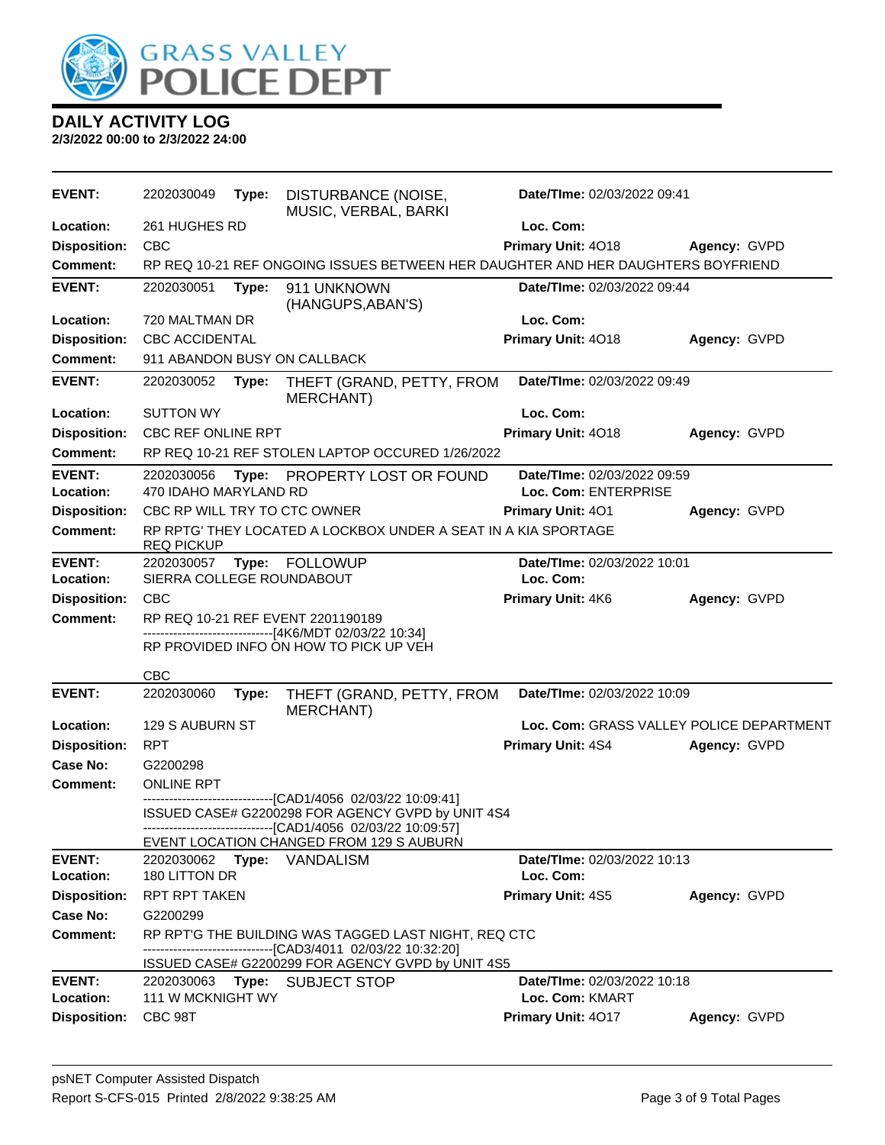

| <b>EVENT:</b>              | 2202030049                          | Type: | DISTURBANCE (NOISE,<br>MUSIC, VERBAL, BARKI                                                                                                                                                        | Date/TIme: 02/03/2022 09:41                         |              |  |
|----------------------------|-------------------------------------|-------|----------------------------------------------------------------------------------------------------------------------------------------------------------------------------------------------------|-----------------------------------------------------|--------------|--|
| Location:                  | 261 HUGHES RD                       |       |                                                                                                                                                                                                    | Loc. Com:                                           |              |  |
| <b>Disposition:</b>        | <b>CBC</b>                          |       |                                                                                                                                                                                                    | Primary Unit: 4018                                  | Agency: GVPD |  |
| Comment:                   |                                     |       | RP REQ 10-21 REF ONGOING ISSUES BETWEEN HER DAUGHTER AND HER DAUGHTERS BOYFRIEND                                                                                                                   |                                                     |              |  |
| <b>EVENT:</b>              | 2202030051                          | Type: | 911 UNKNOWN<br>(HANGUPS, ABAN'S)                                                                                                                                                                   | Date/TIme: 02/03/2022 09:44                         |              |  |
| Location:                  | 720 MALTMAN DR                      |       |                                                                                                                                                                                                    | Loc. Com:                                           |              |  |
| <b>Disposition:</b>        | <b>CBC ACCIDENTAL</b>               |       |                                                                                                                                                                                                    | Primary Unit: 4018                                  | Agency: GVPD |  |
| <b>Comment:</b>            |                                     |       | 911 ABANDON BUSY ON CALLBACK                                                                                                                                                                       |                                                     |              |  |
| <b>EVENT:</b>              | 2202030052                          | Type: | THEFT (GRAND, PETTY, FROM<br>MERCHANT)                                                                                                                                                             | Date/TIme: 02/03/2022 09:49                         |              |  |
| Location:                  | <b>SUTTON WY</b>                    |       |                                                                                                                                                                                                    | Loc. Com:                                           |              |  |
| <b>Disposition:</b>        | CBC REF ONLINE RPT                  |       |                                                                                                                                                                                                    | Primary Unit: 4018                                  | Agency: GVPD |  |
| Comment:                   |                                     |       | RP REQ 10-21 REF STOLEN LAPTOP OCCURED 1/26/2022                                                                                                                                                   |                                                     |              |  |
| <b>EVENT:</b><br>Location: | 2202030056<br>470 IDAHO MARYLAND RD | Type: | PROPERTY LOST OR FOUND                                                                                                                                                                             | Date/TIme: 02/03/2022 09:59<br>Loc. Com: ENTERPRISE |              |  |
| <b>Disposition:</b>        | CBC RP WILL TRY TO CTC OWNER        |       |                                                                                                                                                                                                    | <b>Primary Unit: 401</b>                            | Agency: GVPD |  |
| <b>Comment:</b>            | <b>REQ PICKUP</b>                   |       | RP RPTG' THEY LOCATED A LOCKBOX UNDER A SEAT IN A KIA SPORTAGE                                                                                                                                     |                                                     |              |  |
| <b>EVENT:</b>              | 2202030057                          | Type: | FOLLOWUP                                                                                                                                                                                           | Date/TIme: 02/03/2022 10:01                         |              |  |
| Location:                  | SIERRA COLLEGE ROUNDABOUT           |       |                                                                                                                                                                                                    | Loc. Com:                                           |              |  |
| <b>Disposition:</b>        | <b>CBC</b>                          |       |                                                                                                                                                                                                    | Primary Unit: 4K6                                   | Agency: GVPD |  |
| <b>Comment:</b>            |                                     |       | RP REQ 10-21 REF EVENT 2201190189<br>------------------------------[4K6/MDT 02/03/22 10:34]<br>RP PROVIDED INFO ON HOW TO PICK UP VEH                                                              |                                                     |              |  |
|                            | <b>CBC</b>                          |       |                                                                                                                                                                                                    |                                                     |              |  |
| <b>EVENT:</b>              | 2202030060                          | Type: | THEFT (GRAND, PETTY, FROM<br>MERCHANT)                                                                                                                                                             | Date/TIme: 02/03/2022 10:09                         |              |  |
| Location:                  | 129 S AUBURN ST                     |       |                                                                                                                                                                                                    | Loc. Com: GRASS VALLEY POLICE DEPARTMENT            |              |  |
| <b>Disposition:</b>        | <b>RPT</b>                          |       |                                                                                                                                                                                                    | <b>Primary Unit: 4S4</b>                            | Agency: GVPD |  |
| Case No:                   | G2200298                            |       |                                                                                                                                                                                                    |                                                     |              |  |
| <b>Comment:</b>            | <b>ONLINE RPT</b>                   |       |                                                                                                                                                                                                    |                                                     |              |  |
|                            |                                     |       | -------------------[CAD1/4056_02/03/22 10:09:41]<br>ISSUED CASE# G2200298 FOR AGENCY GVPD by UNIT 4S4<br>----------------[CAD1/4056 02/03/22 10:09:57]<br>EVENT LOCATION CHANGED FROM 129 S AUBURN |                                                     |              |  |
| <b>EVENT:</b>              | 2202030062                          |       | Type: VANDALISM                                                                                                                                                                                    | Date/TIme: 02/03/2022 10:13                         |              |  |
| Location:                  | 180 LITTON DR                       |       |                                                                                                                                                                                                    | Loc. Com:                                           |              |  |
| <b>Disposition:</b>        | <b>RPT RPT TAKEN</b>                |       |                                                                                                                                                                                                    | Primary Unit: 4S5                                   | Agency: GVPD |  |
| Case No:                   | G2200299                            |       |                                                                                                                                                                                                    |                                                     |              |  |
| Comment:                   |                                     |       | RP RPT'G THE BUILDING WAS TAGGED LAST NIGHT, REQ CTC<br>-------------------------------[CAD3/4011 02/03/22 10:32:20]<br>ISSUED CASE# G2200299 FOR AGENCY GVPD by UNIT 4S5                          |                                                     |              |  |
| <b>EVENT:</b>              | 2202030063                          | Type: | <b>SUBJECT STOP</b>                                                                                                                                                                                | Date/TIme: 02/03/2022 10:18                         |              |  |
| Location:                  | 111 W MCKNIGHT WY                   |       |                                                                                                                                                                                                    | Loc. Com: KMART                                     |              |  |
| <b>Disposition:</b>        | CBC 98T                             |       |                                                                                                                                                                                                    | Primary Unit: 4017                                  | Agency: GVPD |  |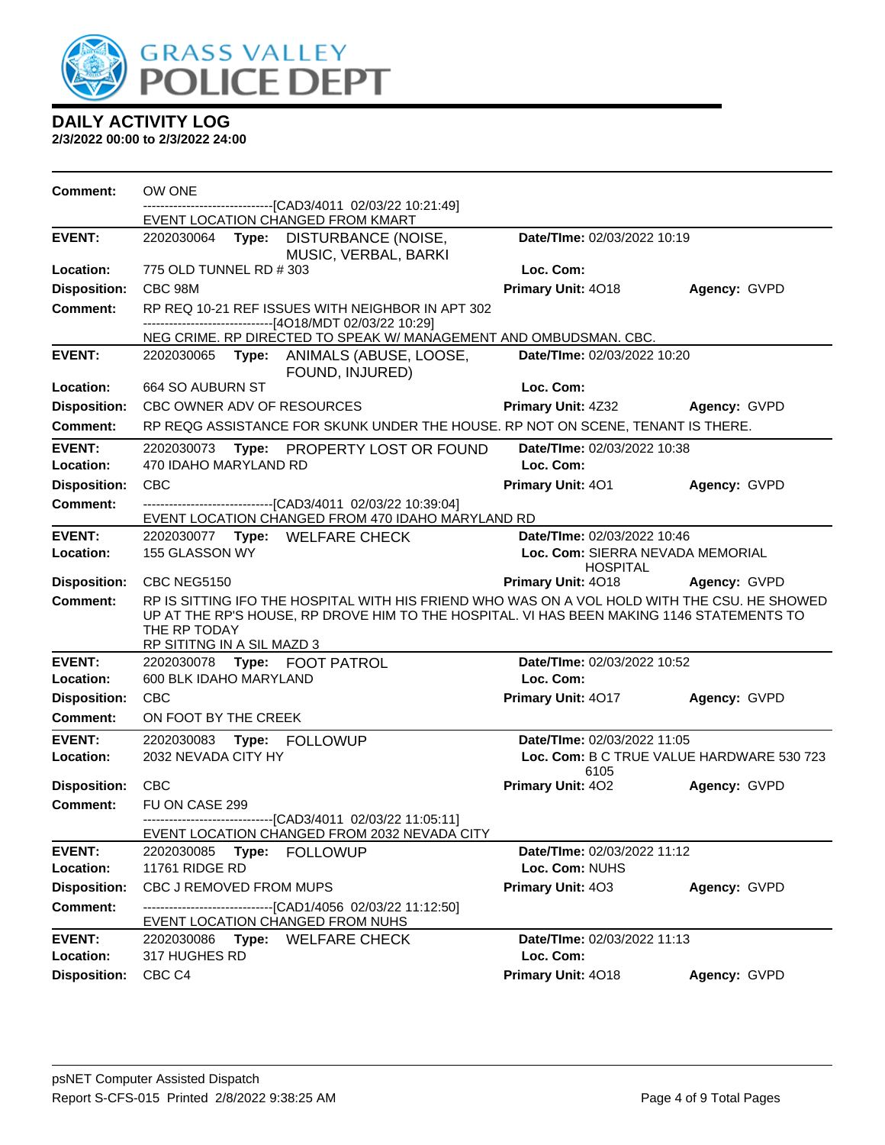

| <b>Comment:</b>                   | OW ONE                                                                                                                                                                                                                                  | -------------------------------[CAD3/4011_02/03/22_10:21:49]                                                      |                                                                                    |              |  |  |
|-----------------------------------|-----------------------------------------------------------------------------------------------------------------------------------------------------------------------------------------------------------------------------------------|-------------------------------------------------------------------------------------------------------------------|------------------------------------------------------------------------------------|--------------|--|--|
|                                   | EVENT LOCATION CHANGED FROM KMART                                                                                                                                                                                                       |                                                                                                                   |                                                                                    |              |  |  |
| <b>EVENT:</b>                     |                                                                                                                                                                                                                                         | 2202030064 Type: DISTURBANCE (NOISE,<br>MUSIC, VERBAL, BARKI                                                      | Date/TIme: 02/03/2022 10:19                                                        |              |  |  |
| Location:                         | 775 OLD TUNNEL RD # 303                                                                                                                                                                                                                 |                                                                                                                   | Loc. Com:                                                                          |              |  |  |
| <b>Disposition:</b>               | CBC 98M                                                                                                                                                                                                                                 |                                                                                                                   | Primary Unit: 4018                                                                 | Agency: GVPD |  |  |
| <b>Comment:</b>                   | ------------------------------[4O18/MDT 02/03/22 10:29]                                                                                                                                                                                 | RP REQ 10-21 REF ISSUES WITH NEIGHBOR IN APT 302                                                                  |                                                                                    |              |  |  |
|                                   |                                                                                                                                                                                                                                         | NEG CRIME. RP DIRECTED TO SPEAK W/ MANAGEMENT AND OMBUDSMAN. CBC.                                                 |                                                                                    |              |  |  |
| <b>EVENT:</b>                     |                                                                                                                                                                                                                                         | 2202030065 Type: ANIMALS (ABUSE, LOOSE,<br>FOUND, INJURED)                                                        | Date/TIme: 02/03/2022 10:20                                                        |              |  |  |
| Location:                         | 664 SO AUBURN ST                                                                                                                                                                                                                        |                                                                                                                   | Loc. Com:                                                                          |              |  |  |
| <b>Disposition:</b>               | CBC OWNER ADV OF RESOURCES                                                                                                                                                                                                              |                                                                                                                   | Primary Unit: 4Z32 Agency: GVPD                                                    |              |  |  |
| <b>Comment:</b>                   |                                                                                                                                                                                                                                         | RP REQG ASSISTANCE FOR SKUNK UNDER THE HOUSE. RP NOT ON SCENE, TENANT IS THERE.                                   |                                                                                    |              |  |  |
| <b>EVENT:</b><br>Location:        | 470 IDAHO MARYLAND RD                                                                                                                                                                                                                   | 2202030073 Type: PROPERTY LOST OR FOUND                                                                           | Date/TIme: 02/03/2022 10:38<br>Loc. Com:                                           |              |  |  |
| <b>Disposition:</b>               | <b>CBC</b>                                                                                                                                                                                                                              |                                                                                                                   | Primary Unit: 401                                                                  | Agency: GVPD |  |  |
| <b>Comment:</b>                   |                                                                                                                                                                                                                                         | -------------------------------[CAD3/4011 02/03/22 10:39:04]<br>EVENT LOCATION CHANGED FROM 470 IDAHO MARYLAND RD |                                                                                    |              |  |  |
| <b>EVENT:</b><br><b>Location:</b> | 2202030077 Type: WELFARE CHECK<br>155 GLASSON WY                                                                                                                                                                                        |                                                                                                                   | Date/TIme: 02/03/2022 10:46<br>Loc. Com: SIERRA NEVADA MEMORIAL<br><b>HOSPITAL</b> |              |  |  |
| <b>Disposition:</b>               | CBC NEG5150                                                                                                                                                                                                                             |                                                                                                                   | <b>Primary Unit: 4018</b>                                                          | Agency: GVPD |  |  |
| Comment:                          | RP IS SITTING IFO THE HOSPITAL WITH HIS FRIEND WHO WAS ON A VOL HOLD WITH THE CSU. HE SHOWED<br>UP AT THE RP'S HOUSE, RP DROVE HIM TO THE HOSPITAL. VI HAS BEEN MAKING 1146 STATEMENTS TO<br>THE RP TODAY<br>RP SITITNG IN A SIL MAZD 3 |                                                                                                                   |                                                                                    |              |  |  |
| <b>EVENT:</b><br><b>Location:</b> | 2202030078    Type: FOOT PATROL<br>600 BLK IDAHO MARYLAND                                                                                                                                                                               |                                                                                                                   | Date/TIme: 02/03/2022 10:52<br>Loc. Com:                                           |              |  |  |
| <b>Disposition:</b>               | <b>CBC</b>                                                                                                                                                                                                                              |                                                                                                                   | Primary Unit: 4017                                                                 | Agency: GVPD |  |  |
| <b>Comment:</b>                   | ON FOOT BY THE CREEK                                                                                                                                                                                                                    |                                                                                                                   |                                                                                    |              |  |  |
| <b>EVENT:</b>                     | 2202030083 Type: FOLLOWUP                                                                                                                                                                                                               |                                                                                                                   | Date/TIme: 02/03/2022 11:05                                                        |              |  |  |
| Location:                         | 2032 NEVADA CITY HY                                                                                                                                                                                                                     |                                                                                                                   | Loc. Com: B C TRUE VALUE HARDWARE 530 723                                          |              |  |  |
| Disposition: CBC                  |                                                                                                                                                                                                                                         |                                                                                                                   | 6105<br><b>Primary Unit: 402</b>                                                   | Agency: GVPD |  |  |
| <b>Comment:</b>                   | FU ON CASE 299                                                                                                                                                                                                                          |                                                                                                                   |                                                                                    |              |  |  |
|                                   |                                                                                                                                                                                                                                         | -------------------------------[CAD3/4011_02/03/22 11:05:11]<br>EVENT LOCATION CHANGED FROM 2032 NEVADA CITY      |                                                                                    |              |  |  |
| <b>EVENT:</b>                     | 2202030085<br>Type:                                                                                                                                                                                                                     | <b>FOLLOWUP</b>                                                                                                   | Date/TIme: 02/03/2022 11:12                                                        |              |  |  |
| Location:                         | 11761 RIDGE RD<br>Loc. Com: NUHS                                                                                                                                                                                                        |                                                                                                                   |                                                                                    |              |  |  |
| <b>Disposition:</b>               | CBC J REMOVED FROM MUPS                                                                                                                                                                                                                 |                                                                                                                   | Primary Unit: 403                                                                  | Agency: GVPD |  |  |
| <b>Comment:</b>                   | EVENT LOCATION CHANGED FROM NUHS                                                                                                                                                                                                        | ---------------------[CAD1/4056 02/03/22 11:12:50]                                                                |                                                                                    |              |  |  |
| <b>EVENT:</b><br>Location:        | 2202030086<br>Type:<br>317 HUGHES RD                                                                                                                                                                                                    | <b>WELFARE CHECK</b>                                                                                              | Date/TIme: 02/03/2022 11:13<br>Loc. Com:                                           |              |  |  |
| <b>Disposition:</b>               | CBC <sub>C4</sub>                                                                                                                                                                                                                       |                                                                                                                   | Primary Unit: 4018                                                                 | Agency: GVPD |  |  |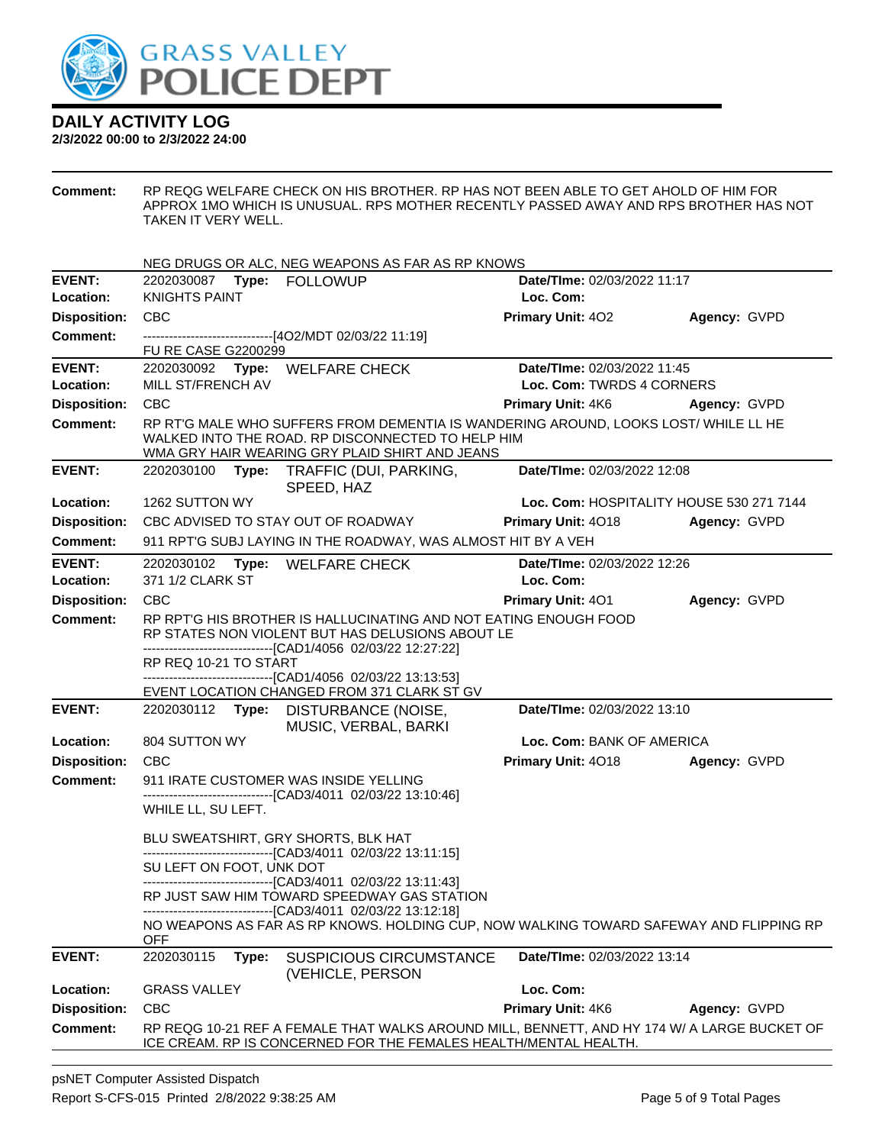

#### **2/3/2022 00:00 to 2/3/2022 24:00**

**Comment:** RP REQG WELFARE CHECK ON HIS BROTHER. RP HAS NOT BEEN ABLE TO GET AHOLD OF HIM FOR APPROX 1MO WHICH IS UNUSUAL. RPS MOTHER RECENTLY PASSED AWAY AND RPS BROTHER HAS NOT TAKEN IT VERY WELL.

|                     |                                                                                                                      | NEG DRUGS OR ALC, NEG WEAPONS AS FAR AS RP KNOWS                                                                                                                                           |                                          |              |  |
|---------------------|----------------------------------------------------------------------------------------------------------------------|--------------------------------------------------------------------------------------------------------------------------------------------------------------------------------------------|------------------------------------------|--------------|--|
| <b>EVENT:</b>       |                                                                                                                      |                                                                                                                                                                                            | Date/TIme: 02/03/2022 11:17              |              |  |
| Location:           | <b>KNIGHTS PAINT</b>                                                                                                 |                                                                                                                                                                                            | Loc. Com:                                |              |  |
| <b>Disposition:</b> | <b>CBC</b>                                                                                                           |                                                                                                                                                                                            | <b>Primary Unit: 402</b>                 | Agency: GVPD |  |
| Comment:            |                                                                                                                      | --------------------------------[4O2/MDT 02/03/22 11:19]                                                                                                                                   |                                          |              |  |
|                     | <b>FU RE CASE G2200299</b>                                                                                           |                                                                                                                                                                                            |                                          |              |  |
| <b>EVENT:</b>       |                                                                                                                      | 2202030092 Type: WELFARE CHECK                                                                                                                                                             | Date/TIme: 02/03/2022 11:45              |              |  |
| Location:           | MILL ST/FRENCH AV                                                                                                    |                                                                                                                                                                                            | Loc. Com: TWRDS 4 CORNERS                |              |  |
| <b>Disposition:</b> | <b>CBC</b>                                                                                                           |                                                                                                                                                                                            | <b>Primary Unit: 4K6</b>                 | Agency: GVPD |  |
| Comment:            |                                                                                                                      | RP RT'G MALE WHO SUFFERS FROM DEMENTIA IS WANDERING AROUND, LOOKS LOST/ WHILE LL HE<br>WALKED INTO THE ROAD. RP DISCONNECTED TO HELP HIM<br>WMA GRY HAIR WEARING GRY PLAID SHIRT AND JEANS |                                          |              |  |
| <b>EVENT:</b>       | 2202030100                                                                                                           | Type: TRAFFIC (DUI, PARKING,<br>SPEED, HAZ                                                                                                                                                 | Date/TIme: 02/03/2022 12:08              |              |  |
| Location:           | 1262 SUTTON WY                                                                                                       |                                                                                                                                                                                            | Loc. Com: HOSPITALITY HOUSE 530 271 7144 |              |  |
| <b>Disposition:</b> |                                                                                                                      | CBC ADVISED TO STAY OUT OF ROADWAY                                                                                                                                                         | <b>Primary Unit: 4018</b>                | Agency: GVPD |  |
| Comment:            |                                                                                                                      | 911 RPT'G SUBJ LAYING IN THE ROADWAY, WAS ALMOST HIT BY A VEH                                                                                                                              |                                          |              |  |
| <b>EVENT:</b>       |                                                                                                                      | 2202030102 Type: WELFARE CHECK                                                                                                                                                             | Date/TIme: 02/03/2022 12:26              |              |  |
| Location:           | 371 1/2 CLARK ST                                                                                                     |                                                                                                                                                                                            | Loc. Com:                                |              |  |
| <b>Disposition:</b> | CBC                                                                                                                  |                                                                                                                                                                                            | <b>Primary Unit: 401</b>                 | Agency: GVPD |  |
| <b>Comment:</b>     | RP RPT'G HIS BROTHER IS HALLUCINATING AND NOT EATING ENOUGH FOOD<br>RP STATES NON VIOLENT BUT HAS DELUSIONS ABOUT LE |                                                                                                                                                                                            |                                          |              |  |
|                     |                                                                                                                      | ------------------------------[CAD1/4056 02/03/22 12:27:22]                                                                                                                                |                                          |              |  |
|                     | RP REQ 10-21 TO START                                                                                                | -------------------------------[CAD1/4056 02/03/22 13:13:53]                                                                                                                               |                                          |              |  |
|                     |                                                                                                                      | EVENT LOCATION CHANGED FROM 371 CLARK ST GV                                                                                                                                                |                                          |              |  |
| <b>EVENT:</b>       |                                                                                                                      | 2202030112 Type: DISTURBANCE (NOISE,<br>MUSIC, VERBAL, BARKI                                                                                                                               | Date/TIme: 02/03/2022 13:10              |              |  |
| Location:           | 804 SUTTON WY                                                                                                        |                                                                                                                                                                                            | Loc. Com: BANK OF AMERICA                |              |  |
| <b>Disposition:</b> | CBC                                                                                                                  |                                                                                                                                                                                            | <b>Primary Unit: 4018</b>                | Agency: GVPD |  |
| <b>Comment:</b>     |                                                                                                                      | 911 IRATE CUSTOMER WAS INSIDE YELLING                                                                                                                                                      |                                          |              |  |
|                     |                                                                                                                      | -------------------------------[CAD3/4011 02/03/22 13:10:46]                                                                                                                               |                                          |              |  |
|                     | WHILE LL, SU LEFT.                                                                                                   |                                                                                                                                                                                            |                                          |              |  |
|                     |                                                                                                                      | BLU SWEATSHIRT, GRY SHORTS, BLK HAT<br>-------------------------------[CAD3/4011 02/03/22 13:11:15]                                                                                        |                                          |              |  |
|                     | SU LEFT ON FOOT, UNK DOT                                                                                             | ---------------------------------[CAD3/4011 02/03/22 13:11:43]                                                                                                                             |                                          |              |  |
|                     |                                                                                                                      | RP JUST SAW HIM TOWARD SPEEDWAY GAS STATION<br>------------------------[CAD3/4011_02/03/22 13:12:18]                                                                                       |                                          |              |  |
|                     | <b>OFF</b>                                                                                                           | NO WEAPONS AS FAR AS RP KNOWS. HOLDING CUP, NOW WALKING TOWARD SAFEWAY AND FLIPPING RP                                                                                                     |                                          |              |  |
| <b>EVENT:</b>       | 2202030115<br>Type:                                                                                                  | <b>SUSPICIOUS CIRCUMSTANCE</b><br>(VEHICLE, PERSON                                                                                                                                         | Date/TIme: 02/03/2022 13:14              |              |  |
| Location:           | <b>GRASS VALLEY</b>                                                                                                  |                                                                                                                                                                                            | Loc. Com:                                |              |  |
| <b>Disposition:</b> | <b>CBC</b>                                                                                                           |                                                                                                                                                                                            | Primary Unit: 4K6                        | Agency: GVPD |  |
| Comment:            |                                                                                                                      | RP REQG 10-21 REF A FEMALE THAT WALKS AROUND MILL, BENNETT, AND HY 174 W/ A LARGE BUCKET OF<br>ICE CREAM. RP IS CONCERNED FOR THE FEMALES HEALTH/MENTAL HEALTH.                            |                                          |              |  |
|                     |                                                                                                                      |                                                                                                                                                                                            |                                          |              |  |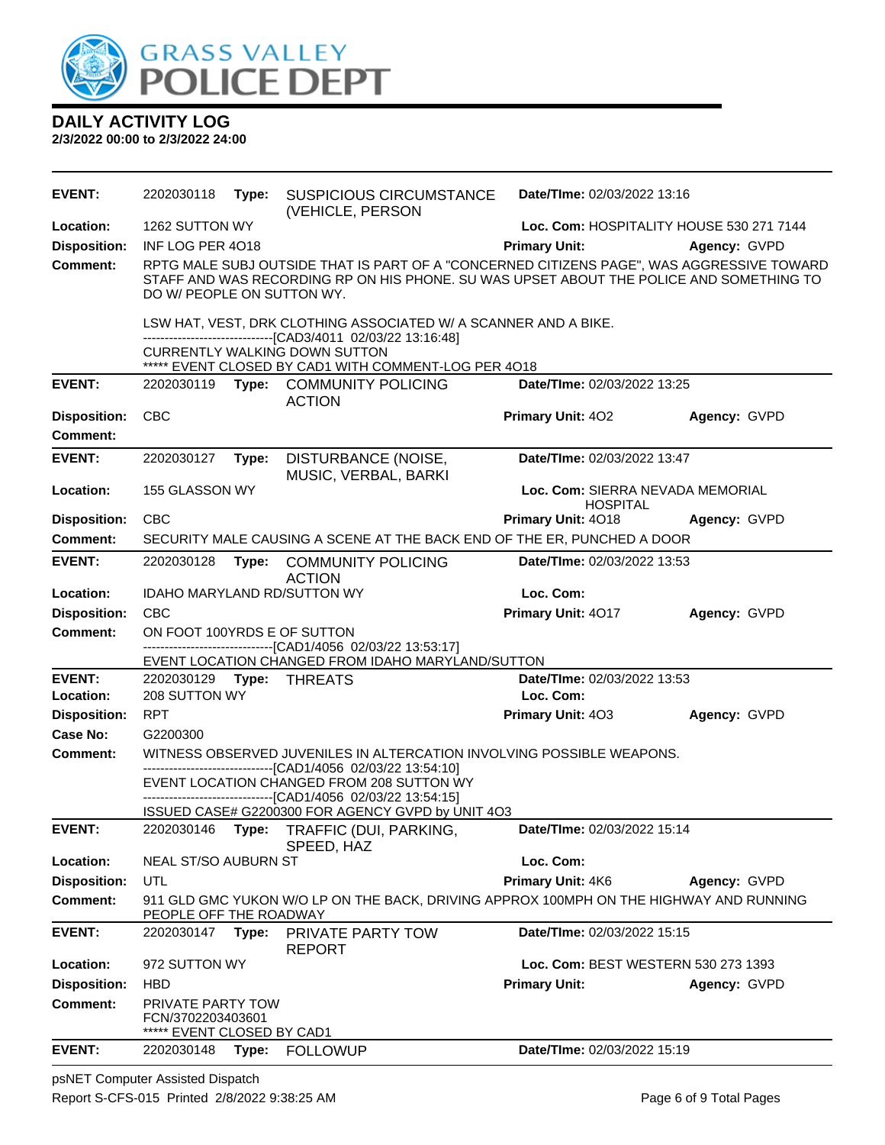

**2/3/2022 00:00 to 2/3/2022 24:00**

| <b>EVENT:</b>              | 2202030118                                                                                  | Type: | <b>SUSPICIOUS CIRCUMSTANCE</b><br>(VEHICLE, PERSON                                                                                                                                   | Date/TIme: 02/03/2022 13:16                         |                                          |
|----------------------------|---------------------------------------------------------------------------------------------|-------|--------------------------------------------------------------------------------------------------------------------------------------------------------------------------------------|-----------------------------------------------------|------------------------------------------|
| Location:                  | 1262 SUTTON WY                                                                              |       |                                                                                                                                                                                      |                                                     | Loc. Com: HOSPITALITY HOUSE 530 271 7144 |
| <b>Disposition:</b>        | INF LOG PER 4018                                                                            |       |                                                                                                                                                                                      | <b>Primary Unit:</b>                                | Agency: GVPD                             |
| <b>Comment:</b>            | DO W/ PEOPLE ON SUTTON WY.                                                                  |       | RPTG MALE SUBJ OUTSIDE THAT IS PART OF A "CONCERNED CITIZENS PAGE", WAS AGGRESSIVE TOWARD<br>STAFF AND WAS RECORDING RP ON HIS PHONE. SU WAS UPSET ABOUT THE POLICE AND SOMETHING TO |                                                     |                                          |
|                            |                                                                                             |       | LSW HAT, VEST, DRK CLOTHING ASSOCIATED W/ A SCANNER AND A BIKE.<br>-------------------------------[CAD3/4011 02/03/22 13:16:48]                                                      |                                                     |                                          |
|                            |                                                                                             |       | <b>CURRENTLY WALKING DOWN SUTTON</b><br>***** EVENT CLOSED BY CAD1 WITH COMMENT-LOG PER 4018                                                                                         |                                                     |                                          |
| <b>EVENT:</b>              |                                                                                             |       | 2202030119 Type: COMMUNITY POLICING<br><b>ACTION</b>                                                                                                                                 | Date/TIme: 02/03/2022 13:25                         |                                          |
| <b>Disposition:</b>        | <b>CBC</b>                                                                                  |       |                                                                                                                                                                                      | <b>Primary Unit: 402</b>                            | Agency: GVPD                             |
| <b>Comment:</b>            |                                                                                             |       |                                                                                                                                                                                      |                                                     |                                          |
| <b>EVENT:</b>              | 2202030127                                                                                  | Type: | DISTURBANCE (NOISE,<br>MUSIC, VERBAL, BARKI                                                                                                                                          | Date/TIme: 02/03/2022 13:47                         |                                          |
| Location:                  | 155 GLASSON WY                                                                              |       |                                                                                                                                                                                      | Loc. Com: SIERRA NEVADA MEMORIAL<br><b>HOSPITAL</b> |                                          |
| <b>Disposition:</b>        | <b>CBC</b>                                                                                  |       |                                                                                                                                                                                      | <b>Primary Unit: 4018</b>                           | Agency: GVPD                             |
| <b>Comment:</b>            |                                                                                             |       | SECURITY MALE CAUSING A SCENE AT THE BACK END OF THE ER, PUNCHED A DOOR                                                                                                              |                                                     |                                          |
| <b>EVENT:</b>              | 2202030128                                                                                  | Type: | <b>COMMUNITY POLICING</b><br><b>ACTION</b>                                                                                                                                           | Date/TIme: 02/03/2022 13:53                         |                                          |
| Location:                  |                                                                                             |       | IDAHO MARYLAND RD/SUTTON WY                                                                                                                                                          | Loc. Com:                                           |                                          |
| <b>Disposition:</b>        | <b>CBC</b>                                                                                  |       |                                                                                                                                                                                      | Primary Unit: 4017                                  | Agency: GVPD                             |
| <b>Comment:</b>            | ON FOOT 100YRDS E OF SUTTON<br>-------------------------------[CAD1/4056 02/03/22 13:53:17] |       |                                                                                                                                                                                      |                                                     |                                          |
|                            |                                                                                             |       | EVENT LOCATION CHANGED FROM IDAHO MARYLAND/SUTTON                                                                                                                                    |                                                     |                                          |
| <b>EVENT:</b><br>Location: | 208 SUTTON WY                                                                               |       |                                                                                                                                                                                      | Date/TIme: 02/03/2022 13:53<br>Loc. Com:            |                                          |
| <b>Disposition:</b>        | <b>RPT</b>                                                                                  |       |                                                                                                                                                                                      | <b>Primary Unit: 403</b>                            | Agency: GVPD                             |
| Case No:                   | G2200300                                                                                    |       |                                                                                                                                                                                      |                                                     |                                          |
| <b>Comment:</b>            |                                                                                             |       | WITNESS OBSERVED JUVENILES IN ALTERCATION INVOLVING POSSIBLE WEAPONS.<br>-------------------------[CAD1/4056 02/03/22 13:54:10]                                                      |                                                     |                                          |
|                            |                                                                                             |       | EVENT LOCATION CHANGED FROM 208 SUTTON WY<br>-------------------------------[CAD1/4056 02/03/22 13:54:15]                                                                            |                                                     |                                          |
|                            |                                                                                             |       | ISSUED CASE# G2200300 FOR AGENCY GVPD by UNIT 4O3                                                                                                                                    |                                                     |                                          |
| <b>EVENT:</b>              |                                                                                             |       | 2202030146 Type: TRAFFIC (DUI, PARKING,<br>SPEED, HAZ                                                                                                                                | Date/TIme: 02/03/2022 15:14                         |                                          |
| Location:                  | NEAL ST/SO AUBURN ST                                                                        |       |                                                                                                                                                                                      | Loc. Com:                                           |                                          |
| <b>Disposition:</b>        | UTL                                                                                         |       |                                                                                                                                                                                      | Primary Unit: 4K6                                   | Agency: GVPD                             |
| Comment:                   | PEOPLE OFF THE ROADWAY                                                                      |       | 911 GLD GMC YUKON W/O LP ON THE BACK, DRIVING APPROX 100MPH ON THE HIGHWAY AND RUNNING                                                                                               |                                                     |                                          |
| <b>EVENT:</b>              | 2202030147 Type:                                                                            |       | PRIVATE PARTY TOW<br><b>REPORT</b>                                                                                                                                                   | Date/TIme: 02/03/2022 15:15                         |                                          |
| Location:                  | 972 SUTTON WY                                                                               |       |                                                                                                                                                                                      | Loc. Com: BEST WESTERN 530 273 1393                 |                                          |
| <b>Disposition:</b>        | <b>HBD</b>                                                                                  |       |                                                                                                                                                                                      | <b>Primary Unit:</b>                                | Agency: GVPD                             |
| Comment:                   | PRIVATE PARTY TOW<br>FCN/3702203403601<br>***** EVENT CLOSED BY CAD1                        |       |                                                                                                                                                                                      |                                                     |                                          |
| <b>EVENT:</b>              | 2202030148                                                                                  | Type: | <b>FOLLOWUP</b>                                                                                                                                                                      | Date/TIme: 02/03/2022 15:19                         |                                          |

psNET Computer Assisted Dispatch Report S-CFS-015 Printed 2/8/2022 9:38:25 AM Page 6 of 9 Total Pages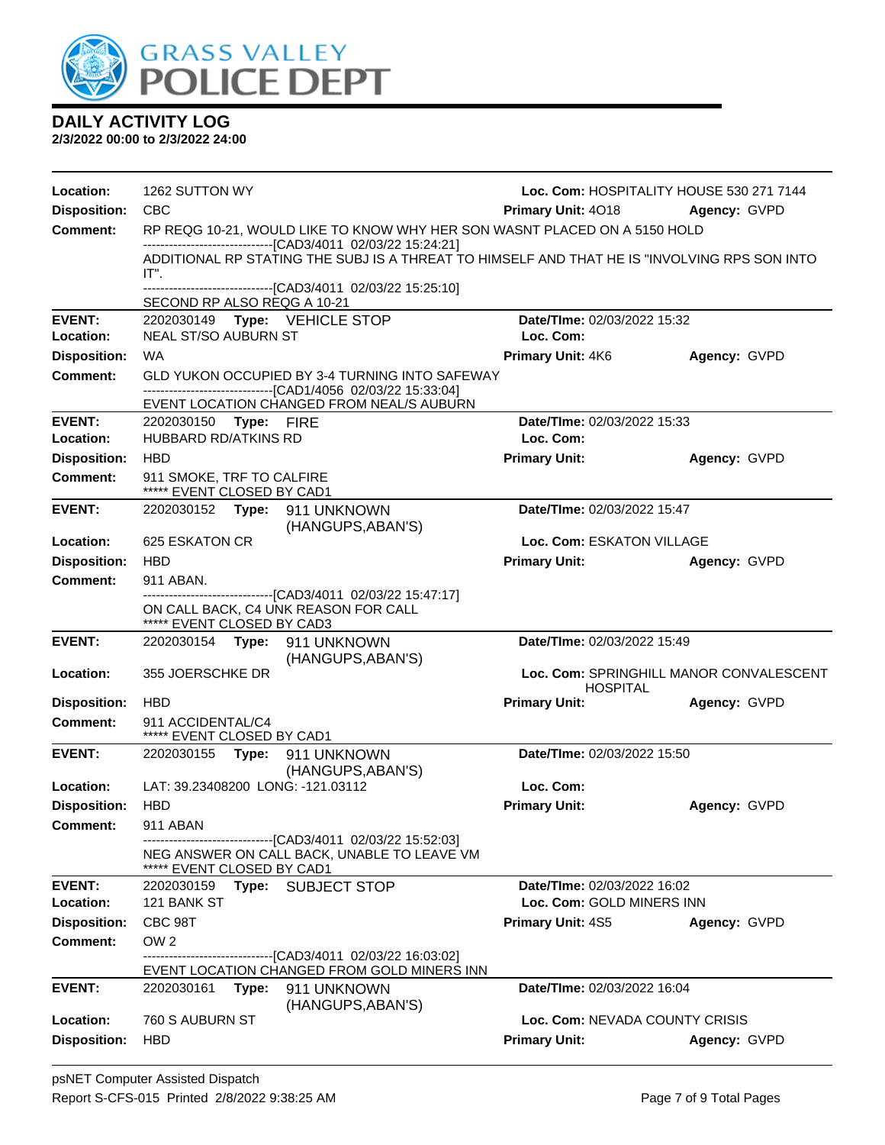

| Location:                  | 1262 SUTTON WY                                                            |                                                                                                                                                               |                                          | Loc. Com: HOSPITALITY HOUSE 530 271 7144 |
|----------------------------|---------------------------------------------------------------------------|---------------------------------------------------------------------------------------------------------------------------------------------------------------|------------------------------------------|------------------------------------------|
| <b>Disposition:</b>        | <b>CBC</b>                                                                |                                                                                                                                                               | <b>Primary Unit: 4018 Agency: GVPD</b>   |                                          |
| <b>Comment:</b>            | RP REQG 10-21, WOULD LIKE TO KNOW WHY HER SON WASNT PLACED ON A 5150 HOLD |                                                                                                                                                               |                                          |                                          |
|                            |                                                                           | --------------------------------[CAD3/4011 02/03/22 15:24:21]<br>ADDITIONAL RP STATING THE SUBJ IS A THREAT TO HIMSELF AND THAT HE IS "INVOLVING RPS SON INTO |                                          |                                          |
|                            | IT".                                                                      |                                                                                                                                                               |                                          |                                          |
|                            | SECOND RP ALSO REQG A 10-21                                               | -------------------------------[CAD3/4011 02/03/22 15:25:10]                                                                                                  |                                          |                                          |
| <b>EVENT:</b>              | 2202030149 Type: VEHICLE STOP                                             |                                                                                                                                                               | Date/TIme: 02/03/2022 15:32              |                                          |
| Location:                  | <b>NEAL ST/SO AUBURN ST</b>                                               |                                                                                                                                                               | Loc. Com:                                |                                          |
| <b>Disposition:</b>        | <b>WA</b>                                                                 |                                                                                                                                                               | <b>Primary Unit: 4K6</b>                 | Agency: GVPD                             |
| <b>Comment:</b>            |                                                                           | GLD YUKON OCCUPIED BY 3-4 TURNING INTO SAFEWAY<br>-------------------------------[CAD1/4056 02/03/22 15:33:04]                                                |                                          |                                          |
|                            |                                                                           | EVENT LOCATION CHANGED FROM NEAL/S AUBURN                                                                                                                     |                                          |                                          |
| <b>EVENT:</b><br>Location: | 2202030150 Type: FIRE<br><b>HUBBARD RD/ATKINS RD</b>                      |                                                                                                                                                               | Date/TIme: 02/03/2022 15:33<br>Loc. Com: |                                          |
| <b>Disposition:</b>        | <b>HBD</b>                                                                |                                                                                                                                                               | <b>Primary Unit:</b>                     | Agency: GVPD                             |
| <b>Comment:</b>            | 911 SMOKE, TRF TO CALFIRE<br>***** EVENT CLOSED BY CAD1                   |                                                                                                                                                               |                                          |                                          |
| <b>EVENT:</b>              | 2202030152 Type: 911 UNKNOWN                                              | (HANGUPS, ABAN'S)                                                                                                                                             | Date/TIme: 02/03/2022 15:47              |                                          |
| Location:                  | <b>625 ESKATON CR</b>                                                     |                                                                                                                                                               | Loc. Com: ESKATON VILLAGE                |                                          |
| <b>Disposition:</b>        | <b>HBD</b>                                                                |                                                                                                                                                               | <b>Primary Unit:</b>                     | Agency: GVPD                             |
| <b>Comment:</b>            | 911 ABAN.                                                                 |                                                                                                                                                               |                                          |                                          |
|                            | ***** EVENT CLOSED BY CAD3                                                | -------------------------------[CAD3/4011 02/03/22 15:47:17]<br>ON CALL BACK, C4 UNK REASON FOR CALL                                                          |                                          |                                          |
| <b>EVENT:</b>              | 2202030154 Type: 911 UNKNOWN                                              | (HANGUPS, ABAN'S)                                                                                                                                             | Date/TIme: 02/03/2022 15:49              |                                          |
| Location:                  | 355 JOERSCHKE DR                                                          |                                                                                                                                                               | <b>HOSPITAL</b>                          | Loc. Com: SPRINGHILL MANOR CONVALESCENT  |
| <b>Disposition:</b>        | <b>HBD</b>                                                                |                                                                                                                                                               | <b>Primary Unit:</b>                     | Agency: GVPD                             |
| <b>Comment:</b>            | 911 ACCIDENTAL/C4<br>***** EVENT CLOSED BY CAD1                           |                                                                                                                                                               |                                          |                                          |
| <b>EVENT:</b>              |                                                                           |                                                                                                                                                               | Date/TIme: 02/03/2022 15:50              |                                          |
|                            |                                                                           | (HANGUPS, ABAN'S)                                                                                                                                             |                                          |                                          |
| Location:                  | LAT: 39.23408200 LONG: -121.03112                                         |                                                                                                                                                               | Loc. Com:                                |                                          |
| <b>Disposition:</b>        | HBD                                                                       |                                                                                                                                                               | <b>Primary Unit:</b>                     | Agency: GVPD                             |
| <b>Comment:</b>            | 911 ABAN                                                                  | -------------------[CAD3/4011_02/03/22_15:52:03]                                                                                                              |                                          |                                          |
|                            | ***** EVENT CLOSED BY CAD1                                                | NEG ANSWER ON CALL BACK, UNABLE TO LEAVE VM                                                                                                                   |                                          |                                          |
| <b>EVENT:</b>              | 2202030159                                                                | Type: SUBJECT STOP                                                                                                                                            | Date/TIme: 02/03/2022 16:02              |                                          |
| Location:                  | 121 BANK ST                                                               |                                                                                                                                                               | Loc. Com: GOLD MINERS INN                |                                          |
| <b>Disposition:</b>        | CBC 98T                                                                   |                                                                                                                                                               | <b>Primary Unit: 4S5</b>                 | Agency: GVPD                             |
| <b>Comment:</b>            | OW <sub>2</sub>                                                           | --------------------[CAD3/4011 02/03/22 16:03:02]                                                                                                             |                                          |                                          |
|                            |                                                                           | EVENT LOCATION CHANGED FROM GOLD MINERS INN                                                                                                                   |                                          |                                          |
| <b>EVENT:</b>              | 2202030161<br>Type:                                                       | 911 UNKNOWN<br>(HANGUPS, ABAN'S)                                                                                                                              | Date/TIme: 02/03/2022 16:04              |                                          |
| Location:                  | 760 S AUBURN ST                                                           |                                                                                                                                                               | Loc. Com: NEVADA COUNTY CRISIS           |                                          |
| <b>Disposition:</b>        | <b>HBD</b>                                                                |                                                                                                                                                               | <b>Primary Unit:</b>                     | Agency: GVPD                             |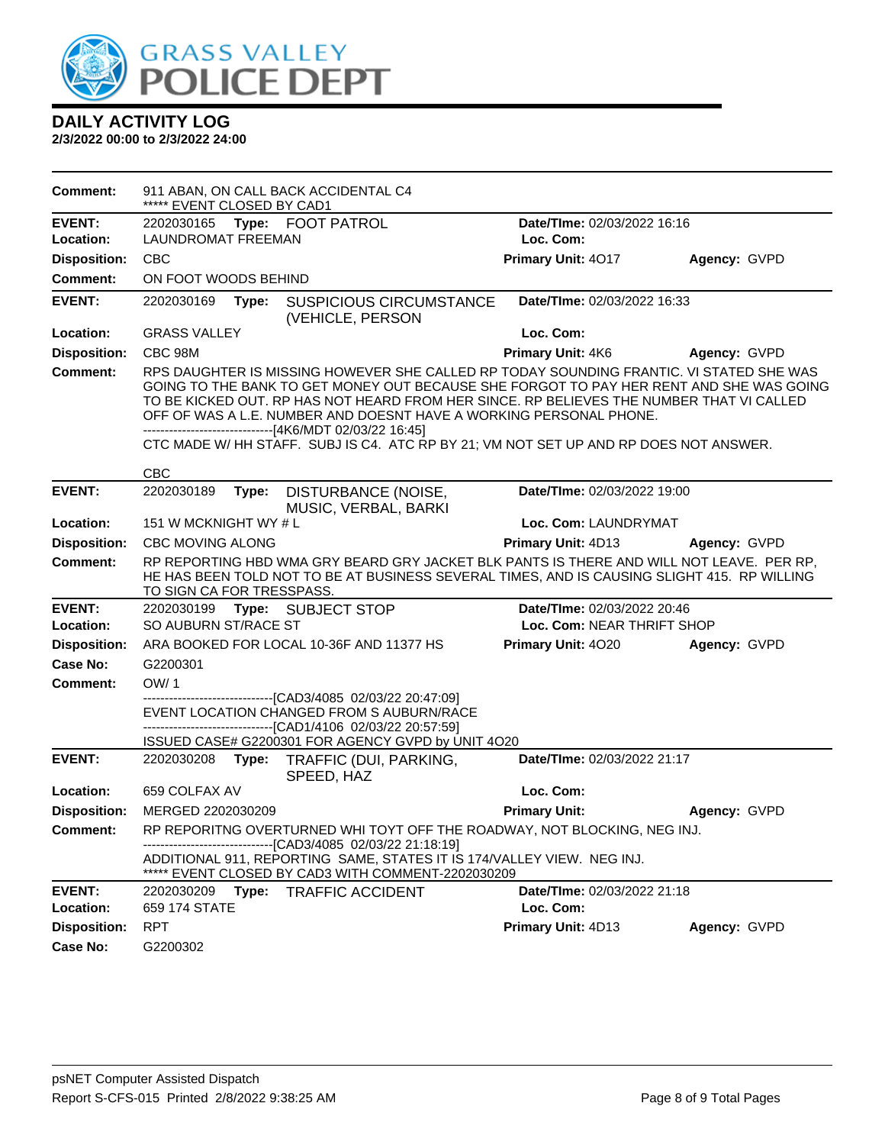

| <b>Comment:</b>     | ***** EVENT CLOSED BY CAD1   | 911 ABAN, ON CALL BACK ACCIDENTAL C4                                                                                                                                                                                                                                                                                                                                                                            |                             |              |  |
|---------------------|------------------------------|-----------------------------------------------------------------------------------------------------------------------------------------------------------------------------------------------------------------------------------------------------------------------------------------------------------------------------------------------------------------------------------------------------------------|-----------------------------|--------------|--|
| <b>EVENT:</b>       | 2202030165 Type: FOOT PATROL |                                                                                                                                                                                                                                                                                                                                                                                                                 | Date/TIme: 02/03/2022 16:16 |              |  |
| Location:           | <b>LAUNDROMAT FREEMAN</b>    |                                                                                                                                                                                                                                                                                                                                                                                                                 | Loc. Com:                   |              |  |
| <b>Disposition:</b> | <b>CBC</b>                   |                                                                                                                                                                                                                                                                                                                                                                                                                 | Primary Unit: 4017          | Agency: GVPD |  |
| <b>Comment:</b>     | ON FOOT WOODS BEHIND         |                                                                                                                                                                                                                                                                                                                                                                                                                 |                             |              |  |
| <b>EVENT:</b>       | 2202030169<br>Type:          | <b>SUSPICIOUS CIRCUMSTANCE</b><br>(VEHICLE, PERSON                                                                                                                                                                                                                                                                                                                                                              | Date/TIme: 02/03/2022 16:33 |              |  |
| Location:           | <b>GRASS VALLEY</b>          |                                                                                                                                                                                                                                                                                                                                                                                                                 | Loc. Com:                   |              |  |
| <b>Disposition:</b> | CBC 98M                      |                                                                                                                                                                                                                                                                                                                                                                                                                 | <b>Primary Unit: 4K6</b>    | Agency: GVPD |  |
| <b>Comment:</b>     |                              | RPS DAUGHTER IS MISSING HOWEVER SHE CALLED RP TODAY SOUNDING FRANTIC. VI STATED SHE WAS<br>GOING TO THE BANK TO GET MONEY OUT BECAUSE SHE FORGOT TO PAY HER RENT AND SHE WAS GOING<br>TO BE KICKED OUT. RP HAS NOT HEARD FROM HER SINCE. RP BELIEVES THE NUMBER THAT VI CALLED<br>OFF OF WAS A L.E. NUMBER AND DOESNT HAVE A WORKING PERSONAL PHONE.<br>-------------------------------[4K6/MDT 02/03/22 16:45] |                             |              |  |
|                     |                              | CTC MADE W/ HH STAFF. SUBJ IS C4. ATC RP BY 21; VM NOT SET UP AND RP DOES NOT ANSWER.                                                                                                                                                                                                                                                                                                                           |                             |              |  |
|                     | <b>CBC</b>                   |                                                                                                                                                                                                                                                                                                                                                                                                                 |                             |              |  |
| <b>EVENT:</b>       | 2202030189<br>Type:          | DISTURBANCE (NOISE,<br>MUSIC, VERBAL, BARKI                                                                                                                                                                                                                                                                                                                                                                     | Date/TIme: 02/03/2022 19:00 |              |  |
| Location:           | 151 W MCKNIGHT WY # L        |                                                                                                                                                                                                                                                                                                                                                                                                                 | Loc. Com: LAUNDRYMAT        |              |  |
| <b>Disposition:</b> | <b>CBC MOVING ALONG</b>      |                                                                                                                                                                                                                                                                                                                                                                                                                 | <b>Primary Unit: 4D13</b>   | Agency: GVPD |  |
| <b>Comment:</b>     | TO SIGN CA FOR TRESSPASS.    | RP REPORTING HBD WMA GRY BEARD GRY JACKET BLK PANTS IS THERE AND WILL NOT LEAVE. PER RP,<br>HE HAS BEEN TOLD NOT TO BE AT BUSINESS SEVERAL TIMES, AND IS CAUSING SLIGHT 415. RP WILLING                                                                                                                                                                                                                         |                             |              |  |
| <b>EVENT:</b>       | 2202030199                   | Type: SUBJECT STOP                                                                                                                                                                                                                                                                                                                                                                                              | Date/TIme: 02/03/2022 20:46 |              |  |
| Location:           | SO AUBURN ST/RACE ST         |                                                                                                                                                                                                                                                                                                                                                                                                                 | Loc. Com: NEAR THRIFT SHOP  |              |  |
| <b>Disposition:</b> |                              | ARA BOOKED FOR LOCAL 10-36F AND 11377 HS                                                                                                                                                                                                                                                                                                                                                                        | Primary Unit: 4020          | Agency: GVPD |  |
| <b>Case No:</b>     | G2200301                     |                                                                                                                                                                                                                                                                                                                                                                                                                 |                             |              |  |
| Comment:            | OW/1                         |                                                                                                                                                                                                                                                                                                                                                                                                                 |                             |              |  |
|                     |                              | ------------------[CAD3/4085 02/03/22 20:47:09]<br>EVENT LOCATION CHANGED FROM S AUBURN/RACE<br>-------------------------------[CAD1/4106 02/03/22 20:57:59]                                                                                                                                                                                                                                                    |                             |              |  |
|                     |                              | ISSUED CASE# G2200301 FOR AGENCY GVPD by UNIT 4O20                                                                                                                                                                                                                                                                                                                                                              |                             |              |  |
| <b>EVENT:</b>       | 2202030208<br>Type:          | TRAFFIC (DUI, PARKING,<br>SPEED, HAZ                                                                                                                                                                                                                                                                                                                                                                            | Date/TIme: 02/03/2022 21:17 |              |  |
| Location:           | 659 COLFAX AV                |                                                                                                                                                                                                                                                                                                                                                                                                                 | Loc. Com:                   |              |  |
| <b>Disposition:</b> | MERGED 2202030209            |                                                                                                                                                                                                                                                                                                                                                                                                                 | <b>Primary Unit:</b>        | Agency: GVPD |  |
| <b>Comment:</b>     |                              | RP REPORITNG OVERTURNED WHI TOYT OFF THE ROADWAY, NOT BLOCKING, NEG INJ.                                                                                                                                                                                                                                                                                                                                        |                             |              |  |
|                     |                              | --- [CAD3/4085 02/03/22 21:18:19]<br>ADDITIONAL 911, REPORTING SAME, STATES IT IS 174/VALLEY VIEW. NEG INJ.<br>***** EVENT CLOSED BY CAD3 WITH COMMENT-2202030209                                                                                                                                                                                                                                               |                             |              |  |
| <b>EVENT:</b>       | 2202030209<br>Type:          | <b>TRAFFIC ACCIDENT</b>                                                                                                                                                                                                                                                                                                                                                                                         | Date/TIme: 02/03/2022 21:18 |              |  |
| Location:           | 659 174 STATE                |                                                                                                                                                                                                                                                                                                                                                                                                                 | Loc. Com:                   |              |  |
| <b>Disposition:</b> | <b>RPT</b>                   |                                                                                                                                                                                                                                                                                                                                                                                                                 | Primary Unit: 4D13          | Agency: GVPD |  |
| Case No:            | G2200302                     |                                                                                                                                                                                                                                                                                                                                                                                                                 |                             |              |  |